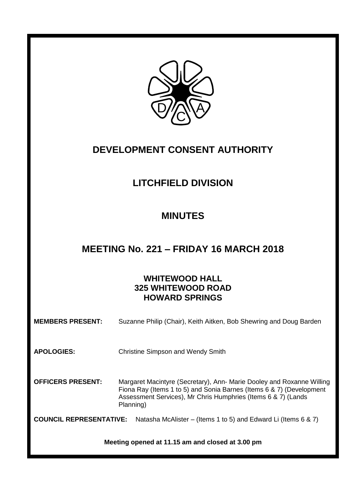

# **DEVELOPMENT CONSENT AUTHORITY**

# **LITCHFIELD DIVISION**

# **MINUTES**

# **MEETING No. 221 – FRIDAY 16 MARCH 2018**

# **WHITEWOOD HALL 325 WHITEWOOD ROAD HOWARD SPRINGS**

| <b>MEMBERS PRESENT:</b>                          | Suzanne Philip (Chair), Keith Aitken, Bob Shewring and Doug Barden                                                                                                                                                          |  |
|--------------------------------------------------|-----------------------------------------------------------------------------------------------------------------------------------------------------------------------------------------------------------------------------|--|
| <b>APOLOGIES:</b>                                | <b>Christine Simpson and Wendy Smith</b>                                                                                                                                                                                    |  |
| <b>OFFICERS PRESENT:</b>                         | Margaret Macintyre (Secretary), Ann- Marie Dooley and Roxanne Willing<br>Fiona Ray (Items 1 to 5) and Sonia Barnes (Items 6 & 7) (Development<br>Assessment Services), Mr Chris Humphries (Items 6 & 7) (Lands<br>Planning) |  |
| <b>COUNCIL REPRESENTATIVE:</b>                   | Natasha McAlister – (Items 1 to 5) and Edward Li (Items 6 & 7)                                                                                                                                                              |  |
| Meeting opened at 11.15 am and closed at 3.00 pm |                                                                                                                                                                                                                             |  |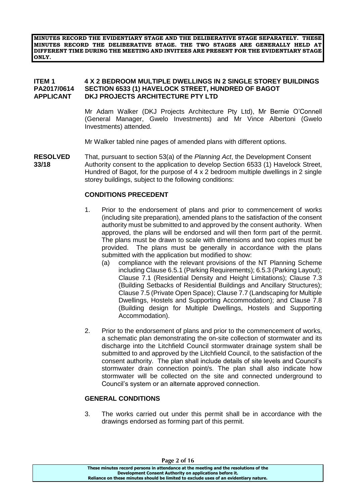**MINUTES RECORD THE EVIDENTIARY STAGE AND THE DELIBERATIVE STAGE SEPARATELY. THESE MINUTES RECORD THE DELIBERATIVE STAGE. THE TWO STAGES ARE GENERALLY HELD AT DIFFERENT TIME DURING THE MEETING AND INVITEES ARE PRESENT FOR THE EVIDENTIARY STAGE ONLY.**

## **ITEM 1 4 X 2 BEDROOM MULTIPLE DWELLINGS IN 2 SINGLE STOREY BUILDINGS PA2017/0614 SECTION 6533 (1) HAVELOCK STREET, HUNDRED OF BAGOT APPLICANT DKJ PROJECTS ARCHITECTURE PTY LTD**

Mr Adam Walker (DKJ Projects Architecture Pty Ltd), Mr Bernie O'Connell (General Manager, Gwelo Investments) and Mr Vince Albertoni (Gwelo Investments) attended.

Mr Walker tabled nine pages of amended plans with different options.

**RESOLVED** That, pursuant to section 53(a) of the *Planning Act*, the Development Consent **33/18** Authority consent to the application to develop Section 6533 (1) Havelock Street, Hundred of Bagot, for the purpose of 4 x 2 bedroom multiple dwellings in 2 single storey buildings, subject to the following conditions:

## **CONDITIONS PRECEDENT**

- 1. Prior to the endorsement of plans and prior to commencement of works (including site preparation), amended plans to the satisfaction of the consent authority must be submitted to and approved by the consent authority. When approved, the plans will be endorsed and will then form part of the permit. The plans must be drawn to scale with dimensions and two copies must be provided. The plans must be generally in accordance with the plans submitted with the application but modified to show:
	- (a) compliance with the relevant provisions of the NT Planning Scheme including Clause 6.5.1 (Parking Requirements); 6.5.3 (Parking Layout); Clause 7.1 (Residential Density and Height Limitations); Clause 7.3 (Building Setbacks of Residential Buildings and Ancillary Structures); Clause 7.5 (Private Open Space); Clause 7.7 (Landscaping for Multiple Dwellings, Hostels and Supporting Accommodation); and Clause 7.8 (Building design for Multiple Dwellings, Hostels and Supporting Accommodation).
- 2. Prior to the endorsement of plans and prior to the commencement of works, a schematic plan demonstrating the on-site collection of stormwater and its discharge into the Litchfield Council stormwater drainage system shall be submitted to and approved by the Litchfield Council, to the satisfaction of the consent authority. The plan shall include details of site levels and Council's stormwater drain connection point/s. The plan shall also indicate how stormwater will be collected on the site and connected underground to Council's system or an alternate approved connection.

## **GENERAL CONDITIONS**

3. The works carried out under this permit shall be in accordance with the drawings endorsed as forming part of this permit.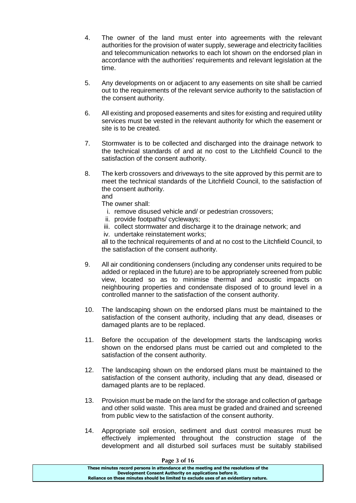- 4. The owner of the land must enter into agreements with the relevant authorities for the provision of water supply, sewerage and electricity facilities and telecommunication networks to each lot shown on the endorsed plan in accordance with the authorities' requirements and relevant legislation at the time.
- 5. Any developments on or adjacent to any easements on site shall be carried out to the requirements of the relevant service authority to the satisfaction of the consent authority.
- 6. All existing and proposed easements and sites for existing and required utility services must be vested in the relevant authority for which the easement or site is to be created.
- 7. Stormwater is to be collected and discharged into the drainage network to the technical standards of and at no cost to the Litchfield Council to the satisfaction of the consent authority.
- 8. The kerb crossovers and driveways to the site approved by this permit are to meet the technical standards of the Litchfield Council, to the satisfaction of the consent authority.

and

The owner shall:

- i. remove disused vehicle and/ or pedestrian crossovers;
- ii. provide footpaths/ cycleways;
- iii. collect stormwater and discharge it to the drainage network; and
- iv. undertake reinstatement works;

all to the technical requirements of and at no cost to the Litchfield Council, to the satisfaction of the consent authority.

- 9. All air conditioning condensers (including any condenser units required to be added or replaced in the future) are to be appropriately screened from public view, located so as to minimise thermal and acoustic impacts on neighbouring properties and condensate disposed of to ground level in a controlled manner to the satisfaction of the consent authority.
- 10. The landscaping shown on the endorsed plans must be maintained to the satisfaction of the consent authority, including that any dead, diseases or damaged plants are to be replaced.
- 11. Before the occupation of the development starts the landscaping works shown on the endorsed plans must be carried out and completed to the satisfaction of the consent authority.
- 12. The landscaping shown on the endorsed plans must be maintained to the satisfaction of the consent authority, including that any dead, diseased or damaged plants are to be replaced.
- 13. Provision must be made on the land for the storage and collection of garbage and other solid waste. This area must be graded and drained and screened from public view to the satisfaction of the consent authority.
- 14. Appropriate soil erosion, sediment and dust control measures must be effectively implemented throughout the construction stage of the development and all disturbed soil surfaces must be suitably stabilised

| Page 3 of 16                                                                          |
|---------------------------------------------------------------------------------------|
| These minutes record persons in attendance at the meeting and the resolutions of the  |
| Development Consent Authority on applications before it.                              |
| Reliance on these minutes should be limited to exclude uses of an evidentiary nature. |

**Page 3 of 16**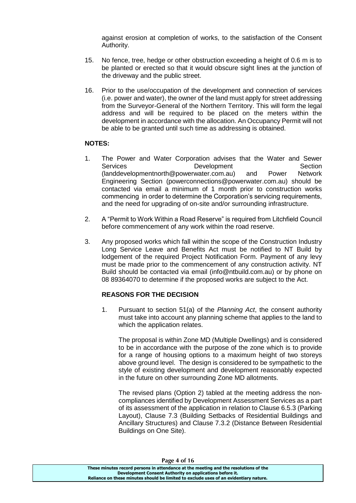against erosion at completion of works, to the satisfaction of the Consent Authority.

- 15. No fence, tree, hedge or other obstruction exceeding a height of 0.6 m is to be planted or erected so that it would obscure sight lines at the junction of the driveway and the public street.
- 16. Prior to the use/occupation of the development and connection of services (i.e. power and water), the owner of the land must apply for street addressing from the Surveyor-General of the Northern Territory. This will form the legal address and will be required to be placed on the meters within the development in accordance with the allocation. An Occupancy Permit will not be able to be granted until such time as addressing is obtained.

# **NOTES:**

- 1. The Power and Water Corporation advises that the Water and Sewer Services **Development** Development Section (landdevelopmentnorth@powerwater.com.au) and Power Network Engineering Section (powerconnections@powerwater.com.au) should be contacted via email a minimum of 1 month prior to construction works commencing in order to determine the Corporation's servicing requirements, and the need for upgrading of on-site and/or surrounding infrastructure.
- 2. A "Permit to Work Within a Road Reserve" is required from Litchfield Council before commencement of any work within the road reserve.
- 3. Any proposed works which fall within the scope of the Construction Industry Long Service Leave and Benefits Act must be notified to NT Build by lodgement of the required Project Notification Form. Payment of any levy must be made prior to the commencement of any construction activity. NT Build should be contacted via email (info@ntbuild.com.au) or by phone on 08 89364070 to determine if the proposed works are subject to the Act.

# **REASONS FOR THE DECISION**

1. Pursuant to section 51(a) of the *Planning Act*, the consent authority must take into account any planning scheme that applies to the land to which the application relates.

The proposal is within Zone MD (Multiple Dwellings) and is considered to be in accordance with the purpose of the zone which is to provide for a range of housing options to a maximum height of two storeys above ground level. The design is considered to be sympathetic to the style of existing development and development reasonably expected in the future on other surrounding Zone MD allotments.

The revised plans (Option 2) tabled at the meeting address the noncompliances identified by Development Assessment Services as a part of its assessment of the application in relation to Clause 6.5.3 (Parking Layout), Clause 7.3 (Building Setbacks of Residential Buildings and Ancillary Structures) and Clause 7.3.2 (Distance Between Residential Buildings on One Site).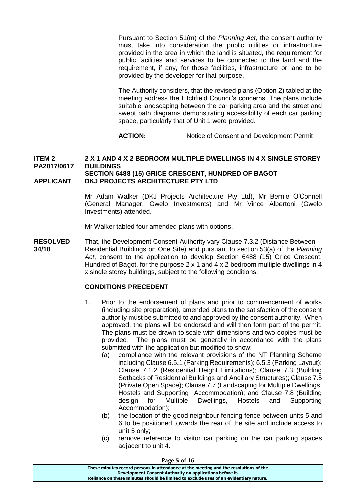Pursuant to Section 51(m) of the *Planning Act*, the consent authority must take into consideration the public utilities or infrastructure provided in the area in which the land is situated, the requirement for public facilities and services to be connected to the land and the requirement, if any, for those facilities, infrastructure or land to be provided by the developer for that purpose.

The Authority considers, that the revised plans (Option 2) tabled at the meeting address the Litchfield Council's concerns. The plans include suitable landscaping between the car parking area and the street and swept path diagrams demonstrating accessibility of each car parking space, particularly that of Unit 1 were provided.

**ACTION:** Notice of Consent and Development Permit

#### **ITEM 2 2 X 1 AND 4 X 2 BEDROOM MULTIPLE DWELLINGS IN 4 X SINGLE STOREY PA2017/0617 BUILDINGS SECTION 6488 (15) GRICE CRESCENT, HUNDRED OF BAGOT APPLICANT DKJ PROJECTS ARCHITECTURE PTY LTD**

Mr Adam Walker (DKJ Projects Architecture Pty Ltd), Mr Bernie O'Connell (General Manager, Gwelo Investments) and Mr Vince Albertoni (Gwelo Investments) attended.

Mr Walker tabled four amended plans with options.

**RESOLVED** That, the Development Consent Authority vary Clause 7.3.2 (Distance Between **34/18** Residential Buildings on One Site) and pursuant to section 53(a) of the *Planning Act*, consent to the application to develop Section 6488 (15) Grice Crescent, Hundred of Bagot, for the purpose 2 x 1 and 4 x 2 bedroom multiple dwellings in 4 x single storey buildings, subject to the following conditions:

## **CONDITIONS PRECEDENT**

- 1. Prior to the endorsement of plans and prior to commencement of works (including site preparation), amended plans to the satisfaction of the consent authority must be submitted to and approved by the consent authority. When approved, the plans will be endorsed and will then form part of the permit. The plans must be drawn to scale with dimensions and two copies must be provided. The plans must be generally in accordance with the plans submitted with the application but modified to show:
	- (a) compliance with the relevant provisions of the NT Planning Scheme including Clause 6.5.1 (Parking Requirements); 6.5.3 (Parking Layout); Clause 7.1.2 (Residential Height Limitations); Clause 7.3 (Building Setbacks of Residential Buildings and Ancillary Structures); Clause 7.5 (Private Open Space); Clause 7.7 (Landscaping for Multiple Dwellings, Hostels and Supporting Accommodation); and Clause 7.8 (Building design for Multiple Dwellings, Hostels and Supporting Accommodation);
	- (b) the location of the good neighbour fencing fence between units 5 and 6 to be positioned towards the rear of the site and include access to unit 5 only;
	- (c) remove reference to visitor car parking on the car parking spaces adjacent to unit 4.

| Page 5 of 16                                                                          |  |
|---------------------------------------------------------------------------------------|--|
| These minutes record persons in attendance at the meeting and the resolutions of the  |  |
| Development Consent Authority on applications before it.                              |  |
| Reliance on these minutes should be limited to exclude uses of an evidentiary nature. |  |
|                                                                                       |  |

**Page 5 of 16**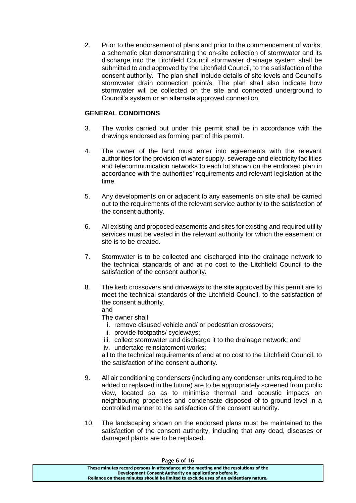2. Prior to the endorsement of plans and prior to the commencement of works, a schematic plan demonstrating the on-site collection of stormwater and its discharge into the Litchfield Council stormwater drainage system shall be submitted to and approved by the Litchfield Council, to the satisfaction of the consent authority. The plan shall include details of site levels and Council's stormwater drain connection point/s. The plan shall also indicate how stormwater will be collected on the site and connected underground to Council's system or an alternate approved connection.

# **GENERAL CONDITIONS**

- 3. The works carried out under this permit shall be in accordance with the drawings endorsed as forming part of this permit.
- 4. The owner of the land must enter into agreements with the relevant authorities for the provision of water supply, sewerage and electricity facilities and telecommunication networks to each lot shown on the endorsed plan in accordance with the authorities' requirements and relevant legislation at the time.
- 5. Any developments on or adjacent to any easements on site shall be carried out to the requirements of the relevant service authority to the satisfaction of the consent authority.
- 6. All existing and proposed easements and sites for existing and required utility services must be vested in the relevant authority for which the easement or site is to be created.
- 7. Stormwater is to be collected and discharged into the drainage network to the technical standards of and at no cost to the Litchfield Council to the satisfaction of the consent authority.
- 8. The kerb crossovers and driveways to the site approved by this permit are to meet the technical standards of the Litchfield Council, to the satisfaction of the consent authority.

and

The owner shall:

- i. remove disused vehicle and/ or pedestrian crossovers;
- ii. provide footpaths/ cycleways;
- iii. collect stormwater and discharge it to the drainage network; and iv. undertake reinstatement works;

all to the technical requirements of and at no cost to the Litchfield Council, to the satisfaction of the consent authority.

- 9. All air conditioning condensers (including any condenser units required to be added or replaced in the future) are to be appropriately screened from public view, located so as to minimise thermal and acoustic impacts on neighbouring properties and condensate disposed of to ground level in a controlled manner to the satisfaction of the consent authority.
- 10. The landscaping shown on the endorsed plans must be maintained to the satisfaction of the consent authority, including that any dead, diseases or damaged plants are to be replaced.

| Page 6 of 16                                                                          |  |
|---------------------------------------------------------------------------------------|--|
| These minutes record persons in attendance at the meeting and the resolutions of the  |  |
| Development Consent Authority on applications before it.                              |  |
| Reliance on these minutes should be limited to exclude uses of an evidentiary nature. |  |
|                                                                                       |  |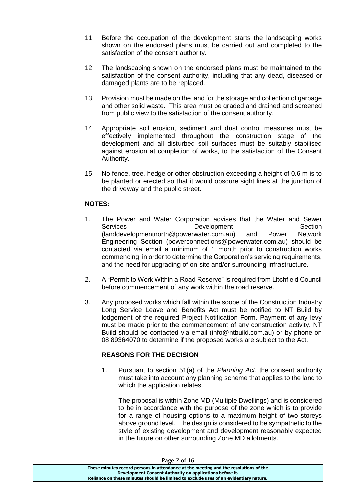- 11. Before the occupation of the development starts the landscaping works shown on the endorsed plans must be carried out and completed to the satisfaction of the consent authority.
- 12. The landscaping shown on the endorsed plans must be maintained to the satisfaction of the consent authority, including that any dead, diseased or damaged plants are to be replaced.
- 13. Provision must be made on the land for the storage and collection of garbage and other solid waste. This area must be graded and drained and screened from public view to the satisfaction of the consent authority.
- 14. Appropriate soil erosion, sediment and dust control measures must be effectively implemented throughout the construction stage of the development and all disturbed soil surfaces must be suitably stabilised against erosion at completion of works, to the satisfaction of the Consent Authority.
- 15. No fence, tree, hedge or other obstruction exceeding a height of 0.6 m is to be planted or erected so that it would obscure sight lines at the junction of the driveway and the public street.

# **NOTES:**

- 1. The Power and Water Corporation advises that the Water and Sewer Services **Development** Section (landdevelopmentnorth@powerwater.com.au) and Power Network Engineering Section (powerconnections@powerwater.com.au) should be contacted via email a minimum of 1 month prior to construction works commencing in order to determine the Corporation's servicing requirements, and the need for upgrading of on-site and/or surrounding infrastructure.
- 2. A "Permit to Work Within a Road Reserve" is required from Litchfield Council before commencement of any work within the road reserve.
- 3. Any proposed works which fall within the scope of the Construction Industry Long Service Leave and Benefits Act must be notified to NT Build by lodgement of the required Project Notification Form. Payment of any levy must be made prior to the commencement of any construction activity. NT Build should be contacted via email (info@ntbuild.com.au) or by phone on 08 89364070 to determine if the proposed works are subject to the Act.

# **REASONS FOR THE DECISION**

1. Pursuant to section 51(a) of the *Planning Act*, the consent authority must take into account any planning scheme that applies to the land to which the application relates.

The proposal is within Zone MD (Multiple Dwellings) and is considered to be in accordance with the purpose of the zone which is to provide for a range of housing options to a maximum height of two storeys above ground level. The design is considered to be sympathetic to the style of existing development and development reasonably expected in the future on other surrounding Zone MD allotments.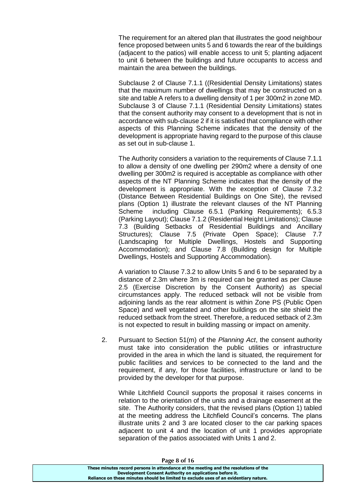The requirement for an altered plan that illustrates the good neighbour fence proposed between units 5 and 6 towards the rear of the buildings (adjacent to the patios) will enable access to unit 5; planting adjacent to unit 6 between the buildings and future occupants to access and maintain the area between the buildings.

Subclause 2 of Clause 7.1.1 ((Residential Density Limitations) states that the maximum number of dwellings that may be constructed on a site and table A refers to a dwelling density of 1 per 300m2 in zone MD. Subclause 3 of Clause 7.1.1 (Residential Density Limitations) states that the consent authority may consent to a development that is not in accordance with sub-clause 2 if it is satisfied that compliance with other aspects of this Planning Scheme indicates that the density of the development is appropriate having regard to the purpose of this clause as set out in sub-clause 1.

The Authority considers a variation to the requirements of Clause 7.1.1 to allow a density of one dwelling per 290m2 where a density of one dwelling per 300m2 is required is acceptable as compliance with other aspects of the NT Planning Scheme indicates that the density of the development is appropriate. With the exception of Clause 7.3.2 (Distance Between Residential Buildings on One Site), the revised plans (Option 1) illustrate the relevant clauses of the NT Planning Scheme including Clause 6.5.1 (Parking Requirements); 6.5.3 (Parking Layout); Clause 7.1.2 (Residential Height Limitations); Clause 7.3 (Building Setbacks of Residential Buildings and Ancillary Structures); Clause 7.5 (Private Open Space); Clause 7.7 (Landscaping for Multiple Dwellings, Hostels and Supporting Accommodation); and Clause 7.8 (Building design for Multiple Dwellings, Hostels and Supporting Accommodation).

A variation to Clause 7.3.2 to allow Units 5 and 6 to be separated by a distance of 2.3m where 3m is required can be granted as per Clause 2.5 (Exercise Discretion by the Consent Authority) as special circumstances apply. The reduced setback will not be visible from adjoining lands as the rear allotment is within Zone PS (Public Open Space) and well vegetated and other buildings on the site shield the reduced setback from the street. Therefore, a reduced setback of 2.3m is not expected to result in building massing or impact on amenity.

2. Pursuant to Section 51(m) of the *Planning Act*, the consent authority must take into consideration the public utilities or infrastructure provided in the area in which the land is situated, the requirement for public facilities and services to be connected to the land and the requirement, if any, for those facilities, infrastructure or land to be provided by the developer for that purpose.

While Litchfield Council supports the proposal it raises concerns in relation to the orientation of the units and a drainage easement at the site. The Authority considers, that the revised plans (Option 1) tabled at the meeting address the Litchfield Council's concerns. The plans illustrate units 2 and 3 are located closer to the car parking spaces adjacent to unit 4 and the location of unit 1 provides appropriate separation of the patios associated with Units 1 and 2.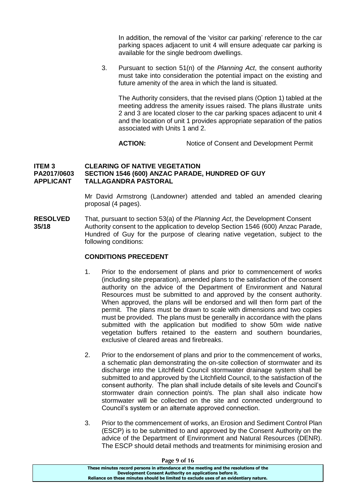In addition, the removal of the 'visitor car parking' reference to the car parking spaces adjacent to unit 4 will ensure adequate car parking is available for the single bedroom dwellings.

3. Pursuant to section 51(n) of the *Planning Act*, the consent authority must take into consideration the potential impact on the existing and future amenity of the area in which the land is situated.

The Authority considers, that the revised plans (Option 1) tabled at the meeting address the amenity issues raised. The plans illustrate units 2 and 3 are located closer to the car parking spaces adjacent to unit 4 and the location of unit 1 provides appropriate separation of the patios associated with Units 1 and 2.

**ACTION:** Notice of Consent and Development Permit

# **ITEM 3 CLEARING OF NATIVE VEGETATION PA2017/0603 SECTION 1546 (600) ANZAC PARADE, HUNDRED OF GUY APPLICANT TALLAGANDRA PASTORAL**

Mr David Armstrong (Landowner) attended and tabled an amended clearing proposal (4 pages).

**RESOLVED** That, pursuant to section 53(a) of the *Planning Act*, the Development Consent **35/18** Authority consent to the application to develop Section 1546 (600) Anzac Parade, Hundred of Guy for the purpose of clearing native vegetation, subject to the following conditions:

## **CONDITIONS PRECEDENT**

- 1. Prior to the endorsement of plans and prior to commencement of works (including site preparation), amended plans to the satisfaction of the consent authority on the advice of the Department of Environment and Natural Resources must be submitted to and approved by the consent authority. When approved, the plans will be endorsed and will then form part of the permit. The plans must be drawn to scale with dimensions and two copies must be provided. The plans must be generally in accordance with the plans submitted with the application but modified to show 50m wide native vegetation buffers retained to the eastern and southern boundaries, exclusive of cleared areas and firebreaks.
- 2. Prior to the endorsement of plans and prior to the commencement of works, a schematic plan demonstrating the on-site collection of stormwater and its discharge into the Litchfield Council stormwater drainage system shall be submitted to and approved by the Litchfield Council, to the satisfaction of the consent authority. The plan shall include details of site levels and Council's stormwater drain connection point/s. The plan shall also indicate how stormwater will be collected on the site and connected underground to Council's system or an alternate approved connection.
- 3. Prior to the commencement of works, an Erosion and Sediment Control Plan (ESCP) is to be submitted to and approved by the Consent Authority on the advice of the Department of Environment and Natural Resources (DENR). The ESCP should detail methods and treatments for minimising erosion and

**Page 9 of 16**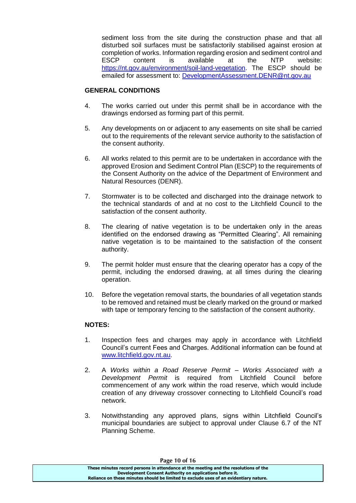sediment loss from the site during the construction phase and that all disturbed soil surfaces must be satisfactorily stabilised against erosion at completion of works. Information regarding erosion and sediment control and ESCP content is available at the NTP website: [https://nt.gov.au/environment/soil-land-vegetation.](https://nt.gov.au/environment/soil-land-vegetation) The ESCP should be emailed for assessment to: [DevelopmentAssessment.DENR@nt.gov.au](mailto:DevelopmentAssessment.DENR@nt.gov.au)

# **GENERAL CONDITIONS**

- 4. The works carried out under this permit shall be in accordance with the drawings endorsed as forming part of this permit.
- 5. Any developments on or adjacent to any easements on site shall be carried out to the requirements of the relevant service authority to the satisfaction of the consent authority.
- 6. All works related to this permit are to be undertaken in accordance with the approved Erosion and Sediment Control Plan (ESCP) to the requirements of the Consent Authority on the advice of the Department of Environment and Natural Resources (DENR).
- 7. Stormwater is to be collected and discharged into the drainage network to the technical standards of and at no cost to the Litchfield Council to the satisfaction of the consent authority.
- 8. The clearing of native vegetation is to be undertaken only in the areas identified on the endorsed drawing as "Permitted Clearing". All remaining native vegetation is to be maintained to the satisfaction of the consent authority.
- 9. The permit holder must ensure that the clearing operator has a copy of the permit, including the endorsed drawing, at all times during the clearing operation.
- 10. Before the vegetation removal starts, the boundaries of all vegetation stands to be removed and retained must be clearly marked on the ground or marked with tape or temporary fencing to the satisfaction of the consent authority.

# **NOTES:**

- 1. Inspection fees and charges may apply in accordance with Litchfield Council's current Fees and Charges. Additional information can be found at [www.litchfield.gov.nt.au.](http://www.litchfield.gov.nt.au/)
- 2. A *Works within a Road Reserve Permit – Works Associated with a Development Permit* is required from Litchfield Council before commencement of any work within the road reserve, which would include creation of any driveway crossover connecting to Litchfield Council's road network.
- 3. Notwithstanding any approved plans, signs within Litchfield Council's municipal boundaries are subject to approval under Clause 6.7 of the NT Planning Scheme.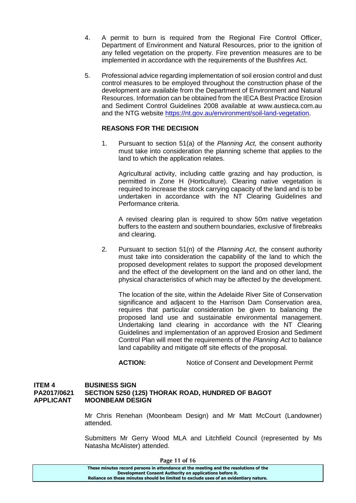- 4. A permit to burn is required from the Regional Fire Control Officer, Department of Environment and Natural Resources, prior to the ignition of any felled vegetation on the property. Fire prevention measures are to be implemented in accordance with the requirements of the Bushfires Act.
- 5. Professional advice regarding implementation of soil erosion control and dust control measures to be employed throughout the construction phase of the development are available from the Department of Environment and Natural Resources. Information can be obtained from the IECA Best Practice Erosion and Sediment Control Guidelines 2008 available at www.austieca.com.au and the NTG website [https://nt.gov.au/environment/soil-land-vegetation.](https://nt.gov.au/environment/soil-land-vegetation)

# **REASONS FOR THE DECISION**

1. Pursuant to section 51(a) of the *Planning Act,* the consent authority must take into consideration the planning scheme that applies to the land to which the application relates.

Agricultural activity, including cattle grazing and hay production, is permitted in Zone H (Horticulture). Clearing native vegetation is required to increase the stock carrying capacity of the land and is to be undertaken in accordance with the NT Clearing Guidelines and Performance criteria.

A revised clearing plan is required to show 50m native vegetation buffers to the eastern and southern boundaries, exclusive of firebreaks and clearing.

2. Pursuant to section 51(n) of the *Planning Act*, the consent authority must take into consideration the capability of the land to which the proposed development relates to support the proposed development and the effect of the development on the land and on other land, the physical characteristics of which may be affected by the development.

The location of the site, within the Adelaide River Site of Conservation significance and adjacent to the Harrison Dam Conservation area, requires that particular consideration be given to balancing the proposed land use and sustainable environmental management. Undertaking land clearing in accordance with the NT Clearing Guidelines and implementation of an approved Erosion and Sediment Control Plan will meet the requirements of the *Planning Act* to balance land capability and mitigate off site effects of the proposal.

**ACTION:** Notice of Consent and Development Permit

#### **ITEM 4 BUSINESS SIGN PA2017/0621 SECTION 5250 (125) THORAK ROAD, HUNDRED OF BAGOT APPLICANT MOONBEAM DESIGN**

Mr Chris Renehan (Moonbeam Design) and Mr Matt McCourt (Landowner) attended.

Submitters Mr Gerry Wood MLA and Litchfield Council (represented by Ms Natasha McAlister) attended.

| Page 11 of 16                                                                         |  |
|---------------------------------------------------------------------------------------|--|
| These minutes record persons in attendance at the meeting and the resolutions of the  |  |
| Development Consent Authority on applications before it.                              |  |
| Reliance on these minutes should be limited to exclude uses of an evidentiary nature. |  |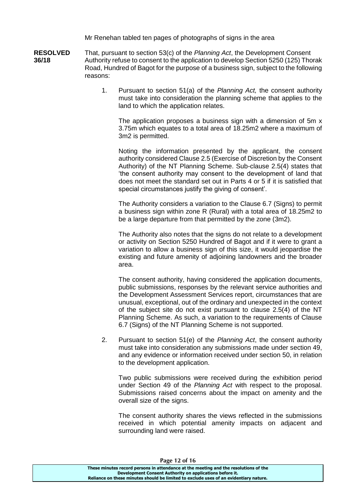Mr Renehan tabled ten pages of photographs of signs in the area

**RESOLVED** That, pursuant to section 53(c) of the *Planning Act*, the Development Consent **36/18** Authority refuse to consent to the application to develop Section 5250 (125) Thorak Road, Hundred of Bagot for the purpose of a business sign, subject to the following reasons:

> 1. Pursuant to section 51(a) of the *Planning Act,* the consent authority must take into consideration the planning scheme that applies to the land to which the application relates.

The application proposes a business sign with a dimension of 5m x 3.75m which equates to a total area of 18.25m2 where a maximum of 3m2 is permitted.

Noting the information presented by the applicant, the consent authority considered Clause 2.5 (Exercise of Discretion by the Consent Authority) of the NT Planning Scheme. Sub-clause 2.5(4) states that 'the consent authority may consent to the development of land that does not meet the standard set out in Parts 4 or 5 if it is satisfied that special circumstances justify the giving of consent'.

The Authority considers a variation to the Clause 6.7 (Signs) to permit a business sign within zone R (Rural) with a total area of 18.25m2 to be a large departure from that permitted by the zone (3m2).

The Authority also notes that the signs do not relate to a development or activity on Section 5250 Hundred of Bagot and if it were to grant a variation to allow a business sign of this size, it would jeopardise the existing and future amenity of adjoining landowners and the broader area.

The consent authority, having considered the application documents, public submissions, responses by the relevant service authorities and the Development Assessment Services report, circumstances that are unusual, exceptional, out of the ordinary and unexpected in the context of the subject site do not exist pursuant to clause 2.5(4) of the NT Planning Scheme. As such, a variation to the requirements of Clause 6.7 (Signs) of the NT Planning Scheme is not supported.

2. Pursuant to section 51(e) of the *Planning Act*, the consent authority must take into consideration any submissions made under section 49, and any evidence or information received under section 50, in relation to the development application.

Two public submissions were received during the exhibition period under Section 49 of the *Planning Act* with respect to the proposal. Submissions raised concerns about the impact on amenity and the overall size of the signs.

The consent authority shares the views reflected in the submissions received in which potential amenity impacts on adjacent and surrounding land were raised.

**Page 12 of 16**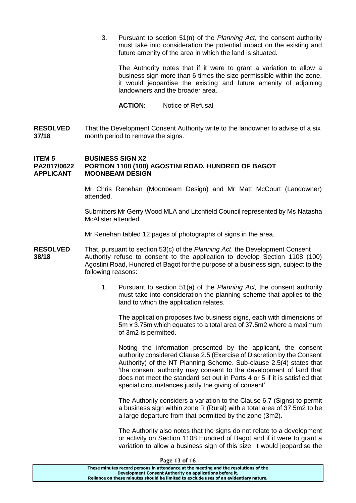3. Pursuant to section 51(n) of the *Planning Act*, the consent authority must take into consideration the potential impact on the existing and future amenity of the area in which the land is situated.

The Authority notes that if it were to grant a variation to allow a business sign more than 6 times the size permissible within the zone, it would jeopardise the existing and future amenity of adjoining landowners and the broader area.

**ACTION:** Notice of Refusal

**RESOLVED** That the Development Consent Authority write to the landowner to advise of a six **37/18** month period to remove the signs.

#### **ITEM 5 BUSINESS SIGN X2 PA2017/0622 PORTION 1108 (100) AGOSTINI ROAD, HUNDRED OF BAGOT APPLICANT MOONBEAM DESIGN**

Mr Chris Renehan (Moonbeam Design) and Mr Matt McCourt (Landowner) attended.

Submitters Mr Gerry Wood MLA and Litchfield Council represented by Ms Natasha McAlister attended.

Mr Renehan tabled 12 pages of photographs of signs in the area.

- **RESOLVED** That, pursuant to section 53(c) of the *Planning Act*, the Development Consent **38/18** Authority refuse to consent to the application to develop Section 1108 (100) Agostini Road, Hundred of Bagot for the purpose of a business sign, subject to the following reasons:
	- 1. Pursuant to section 51(a) of the *Planning Act,* the consent authority must take into consideration the planning scheme that applies to the land to which the application relates.

The application proposes two business signs, each with dimensions of 5m x 3.75m which equates to a total area of 37.5m2 where a maximum of 3m2 is permitted.

Noting the information presented by the applicant, the consent authority considered Clause 2.5 (Exercise of Discretion by the Consent Authority) of the NT Planning Scheme. Sub-clause 2.5(4) states that 'the consent authority may consent to the development of land that does not meet the standard set out in Parts 4 or 5 if it is satisfied that special circumstances justify the giving of consent'.

The Authority considers a variation to the Clause 6.7 (Signs) to permit a business sign within zone R (Rural) with a total area of 37.5m2 to be a large departure from that permitted by the zone (3m2).

The Authority also notes that the signs do not relate to a development or activity on Section 1108 Hundred of Bagot and if it were to grant a variation to allow a business sign of this size, it would jeopardise the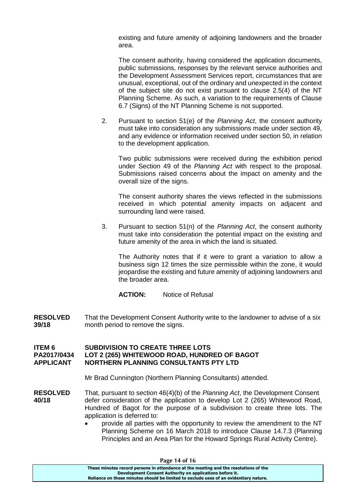existing and future amenity of adjoining landowners and the broader area.

The consent authority, having considered the application documents, public submissions, responses by the relevant service authorities and the Development Assessment Services report, circumstances that are unusual, exceptional, out of the ordinary and unexpected in the context of the subject site do not exist pursuant to clause 2.5(4) of the NT Planning Scheme. As such, a variation to the requirements of Clause 6.7 (Signs) of the NT Planning Scheme is not supported.

2. Pursuant to section 51(e) of the *Planning Act*, the consent authority must take into consideration any submissions made under section 49, and any evidence or information received under section 50, in relation to the development application.

Two public submissions were received during the exhibition period under Section 49 of the *Planning Act* with respect to the proposal. Submissions raised concerns about the impact on amenity and the overall size of the signs.

The consent authority shares the views reflected in the submissions received in which potential amenity impacts on adjacent and surrounding land were raised.

3. Pursuant to section 51(n) of the *Planning Act*, the consent authority must take into consideration the potential impact on the existing and future amenity of the area in which the land is situated.

The Authority notes that if it were to grant a variation to allow a business sign 12 times the size permissible within the zone, it would jeopardise the existing and future amenity of adjoining landowners and the broader area.

**ACTION:** Notice of Refusal

**RESOLVED** That the Development Consent Authority write to the landowner to advise of a six<br>39/18 month period to remove the signs month period to remove the signs.

## **ITEM 6 SUBDIVISION TO CREATE THREE LOTS PA2017/0434 LOT 2 (265) WHITEWOOD ROAD, HUNDRED OF BAGOT APPLICANT NORTHERN PLANNING CONSULTANTS PTY LTD**

Mr Brad Cunnington (Northern Planning Consultants) attended.

- **RESOLVED** That, pursuant to section 46(4)(b) of the *Planning Act*, the Development Consent **40/18** defer consideration of the application to develop Lot 2 (265) Whitewood Road, Hundred of Bagot for the purpose of a subdivision to create three lots. The application is deferred to:
	- provide all parties with the opportunity to review the amendment to the NT Planning Scheme on 16 March 2018 to introduce Clause 14.7.3 (Planning Principles and an Area Plan for the Howard Springs Rural Activity Centre).

| Page 14 of 16                                                                         |  |
|---------------------------------------------------------------------------------------|--|
| These minutes record persons in attendance at the meeting and the resolutions of the  |  |
| Development Consent Authority on applications before it.                              |  |
| Reliance on these minutes should be limited to exclude uses of an evidentiary nature. |  |
|                                                                                       |  |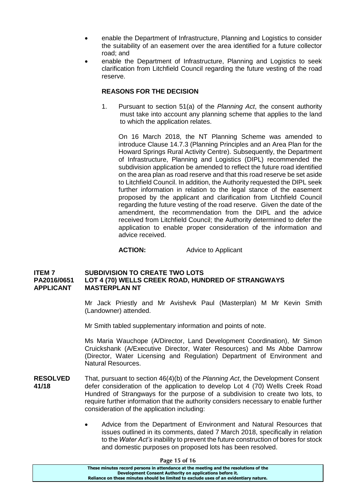- enable the Department of Infrastructure, Planning and Logistics to consider the suitability of an easement over the area identified for a future collector road; and
- enable the Department of Infrastructure, Planning and Logistics to seek clarification from Litchfield Council regarding the future vesting of the road reserve.

# **REASONS FOR THE DECISION**

1. Pursuant to section 51(a) of the *Planning Act*, the consent authority must take into account any planning scheme that applies to the land to which the application relates.

On 16 March 2018, the NT Planning Scheme was amended to introduce Clause 14.7.3 (Planning Principles and an Area Plan for the Howard Springs Rural Activity Centre). Subsequently, the Department of Infrastructure, Planning and Logistics (DIPL) recommended the subdivision application be amended to reflect the future road identified on the area plan as road reserve and that this road reserve be set aside to Litchfield Council. In addition, the Authority requested the DIPL seek further information in relation to the legal stance of the easement proposed by the applicant and clarification from Litchfield Council regarding the future vesting of the road reserve. Given the date of the amendment, the recommendation from the DIPL and the advice received from Litchfield Council; the Authority determined to defer the application to enable proper consideration of the information and advice received.

## **ACTION:** Advice to Applicant

## **ITEM 7 SUBDIVISION TO CREATE TWO LOTS PA2016/0651 LOT 4 (70) WELLS CREEK ROAD, HUNDRED OF STRANGWAYS APPLICANT MASTERPLAN NT**

Mr Jack Priestly and Mr Avishevk Paul (Masterplan) M Mr Kevin Smith (Landowner) attended.

Mr Smith tabled supplementary information and points of note.

Ms Maria Wauchope (A/Director, Land Development Coordination), Mr Simon Cruickshank (A/Executive Director, Water Resources) and Ms Abbe Damrow (Director, Water Licensing and Regulation) Department of Environment and Natural Resources.

- **RESOLVED** That, pursuant to section 46(4)(b) of the *Planning Act*, the Development Consent **41/18** defer consideration of the application to develop Lot 4 (70) Wells Creek Road Hundred of Strangways for the purpose of a subdivision to create two lots, to require further information that the authority considers necessary to enable further consideration of the application including:
	- Advice from the Department of Environment and Natural Resources that issues outlined in its comments, dated 7 March 2018, specifically in relation to the *Water Act's* inability to prevent the future construction of bores for stock and domestic purposes on proposed lots has been resolved.

| Page 15 of 16                                                                         |  |
|---------------------------------------------------------------------------------------|--|
| These minutes record persons in attendance at the meeting and the resolutions of the  |  |
| Development Consent Authority on applications before it.                              |  |
| Reliance on these minutes should be limited to exclude uses of an evidentiary nature. |  |
|                                                                                       |  |